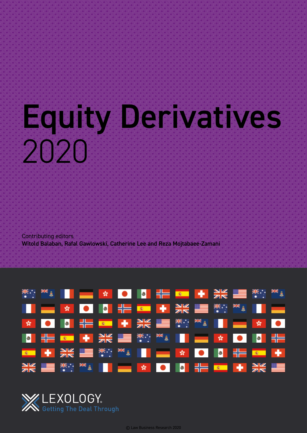# Equity Derivatives 2020

Contributing editors Witold Balaban, Rafal Gawlowski, Catherine Lee and Reza Mojtabaee-Zamani

|  |  |  |  | ▓░░▓ <mark>▌▌▌▅▅▕▓▕▏▌▏▏</mark> ▏ <mark>░▏▏▞▅▕▗▅▕▕⋕▕▓▓▕▓</mark> ▓░░▓▟▏             |  |  |  |
|--|--|--|--|-----------------------------------------------------------------------------------|--|--|--|
|  |  |  |  | ▐▐▏▅▅▕ <sup>▕</sup> ▖▝▎▝▏ <mark>▕▏▚▏▆▋▕+▏▒</mark> ▓▕▓▆▏▓░▕▓▖▐▐▏▅▅                 |  |  |  |
|  |  |  |  | <u>▓▓▓▓▓▓▓▓▓▓▓</u><br>▗▖▗▖▅▞▖▞▞▖▞▞▖▓▓░▓▓░▓░▓░▓░▓░▓░▓░                             |  |  |  |
|  |  |  |  | <mark>▌▘▏▞▅▕▖▘▏</mark> ▝▛▕▓▓▏▓▓░▏▓░▏▓░▏▊ <mark>▏▗▄▕░▕▏▌▏</mark> ▏▞ <mark>▅</mark> |  |  |  |
|  |  |  |  |                                                                                   |  |  |  |
|  |  |  |  | <u>ŊKUE</u> ▓░▏▓▟▕▕▎▆▅▏▓▕▏ <mark>▎▏</mark> ▅▏ <mark>░▏▕</mark> ▅▏▆▅▏▗▎▕▒▓▁▓█▁     |  |  |  |

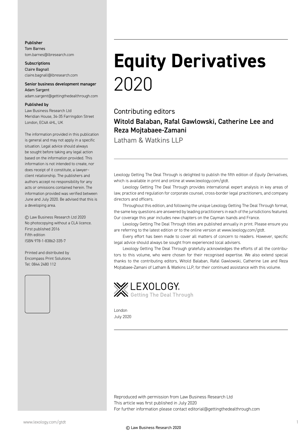#### Publisher

Tom Barnes tom.barnes@lbresearch.com

**Subscriptions** Claire Bagnall claire.bagnall@lbresearch.com

#### Senior business development manager Adam Sargent

adam.sargent@gettingthedealthrough.com

#### Published by

Law Business Research Ltd Meridian House, 34-35 Farringdon Street London, EC4A 4HL, UK

The information provided in this publication is general and may not apply in a specific situation. Legal advice should always be sought before taking any legal action based on the information provided. This information is not intended to create, nor does receipt of it constitute, a lawyer– client relationship. The publishers and authors accept no responsibility for any acts or omissions contained herein. The information provided was verified between June and July 2020. Be advised that this is a developing area.

© Law Business Research Ltd 2020 No photocopying without a CLA licence. First published 2016 Fifth edition ISBN 978-1-83862-335-7

Printed and distributed by Encompass Print Solutions Tel: 0844 2480 112



# **Equity Derivatives** 2020

### Contributing editors Witold Balaban, Rafal Gawlowski, Catherine Lee and Reza Mojtabaee-Zamani

Latham & Watkins LLP

Lexology Getting The Deal Through is delighted to publish the fifth edition of *Equity Derivatives*, which is available in print and online at www.lexology.com/gtdt.

Lexology Getting The Deal Through provides international expert analysis in key areas of law, practice and regulation for corporate counsel, cross-border legal practitioners, and company directors and officers.

Throughout this edition, and following the unique Lexology Getting The Deal Through format, the same key questions are answered by leading practitioners in each of the jurisdictions featured. Our coverage this year includes new chapters on the Cayman Isands and France.

Lexology Getting The Deal Through titles are published annually in print. Please ensure you are referring to the latest edition or to the online version at www.lexology.com/gtdt.

Every effort has been made to cover all matters of concern to readers. However, specific legal advice should always be sought from experienced local advisers.

Lexology Getting The Deal Through gratefully acknowledges the efforts of all the contributors to this volume, who were chosen for their recognised expertise. We also extend special thanks to the contributing editors, Witold Balaban, Rafal Gawlowski, Catherine Lee and Reza Mojtabaee-Zamani of Latham & Watkins LLP, for their continued assistance with this volume.



London July 2020

Reproduced with permission from Law Business Research Ltd This article was first published in July 2020 For further information please contact editorial@gettingthedealthrough.com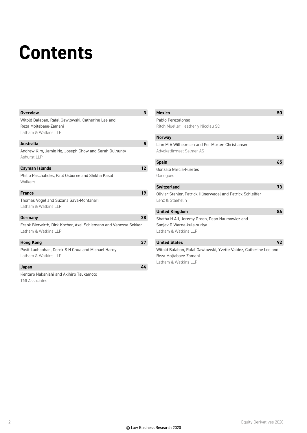# **Contents**

| <b>Overview</b><br>3                                                                                |
|-----------------------------------------------------------------------------------------------------|
| Witold Balaban, Rafal Gawlowski, Catherine Lee and<br>Reza Mojtabaee-Zamani<br>Latham & Watkins LLP |
| <b>Australia</b><br>5                                                                               |
| Andrew Kim, Jamie Ng, Joseph Chow and Sarah Dulhunty<br>Ashurst II P                                |
| 12 <sup>2</sup><br><b>Cayman Islands</b>                                                            |
| Philip Paschalides, Paul Osborne and Shikha Kasal<br>Walkers                                        |
| 19<br><b>France</b>                                                                                 |
| Thomas Vogel and Suzana Sava-Montanari<br>Latham & Watkins LLP                                      |
| 28<br>Germany                                                                                       |
| Frank Bierwirth, Dirk Kocher, Axel Schiemann and Vanessa Sekker<br>Latham & Watkins LLP             |
| 37<br><b>Hong Kong</b>                                                                              |
| Posit Laohaphan, Derek S H Chua and Michael Hardy<br>Latham & Watkins LLP                           |
| 44<br><b>Japan</b>                                                                                  |
| Kentaro Nakanishi and Akihiro Tsukamoto<br><b>TMI Associates</b>                                    |

**Mexico 50** Pablo Perezalonso Ritch Mueller Heather y Nicolau SC **Norway 58** Linn M A Wilhelmsen and Per Morten Christiansen Advokatfirmaet Selmer AS **Spain 65** Gonzalo García-Fuertes Garrigues **Switzerland 73** Olivier Stahler, Patrick Hünerwadel and Patrick Schleiffer Lenz & Staehelin **United Kingdom 84** Shatha H Ali, Jeremy Green, Dean Naumowicz and Sanjev D Warna-kula-suriya Latham & Watkins LLP **United States 92** Witold Balaban, Rafal Gawlowski, Yvette Valdez, Catherine Lee and Reza Mojtabaee-Zamani

Latham & Watkins LLP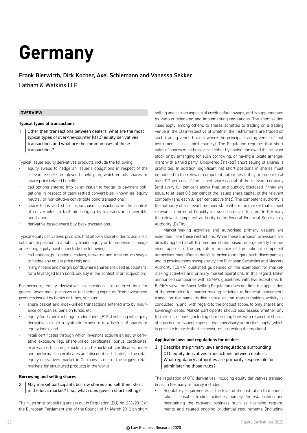# **Germany**

#### Frank Bierwirth, Dirk Kocher, Axel Schiemann and Vanessa Sekker

Latham & Watkins LLP

#### **OVERVIEW**

#### **Typical types of transactions**

1 | Other than transactions between dealers, what are the most typical types of over-the-counter (OTC) equity derivatives transactions and what are the common uses of these transactions?

Typical issuer equity derivatives products include the following:

- equity swaps to hedge an issuer's obligations in respect of the relevant issuer's employee benefit plan, which entails shares or share price related benefits;
- call options entered into by an issuer to hedge its payment obligations in respect of cash-settled convertibles, known as 'equity neutral' or non-dilutive convertible bond transactions';
- share loans and share repurchase transactions in the context of convertibles to facilitate hedging by investors in convertible bonds; and
- derivative-based share buy-back transactions.

Typical equity derivatives products that allow a shareholder to acquire a substantial position in a publicly traded equity or to monetise or hedge an existing equity position include the following:

- call options, put options, collars, forwards and total return swaps to hedge any equity price risk; and
- margin loans and margin bonds where shares are used as collateral for a leveraged loan bond, usually in the context of an acquisition;

Furthermore, equity derivatives transactions are entered into for general investment purposes or for hedging exposure from investment products issued by banks or funds, such as:

- share basket and index-linked transactions entered into by insurance companies, pension funds, etc;
- equity funds and exchange-traded funds (ETFs) entering into equity derivatives to get a synthetic exposure to a basket of shares or equity index; and
- retail certificates through which investors acquire an equity derivative exposure (eg, share-linked certificates, bonus certificates, express certificates, knock-in and knock-out certificates, index and performance certificates and discount certificates) – the retail equity derivatives market in Germany is one of the biggest retail markets for structured products in the world.

#### **Borrowing and selling shares**

2 | May market participants borrow shares and sell them short in the local market? If so, what rules govern short selling?

The rules on short selling are set out in Regulation (EU) No. 236/2012 of the European Parliament and of the Council of 14 March 2012 on short

selling and certain aspects of credit default swaps, and is supplemented by various delegated and implementing regulations. The short selling rules apply, among others, to shares admitted to trading on a trading venue in the EU irrespective of whether the instruments are traded on such trading venue (except where the principal trading venue of that instrument is in a third country). The Regulation requires that short sales of shares must be covered either by having borrowed the relevant stock or by arranging for such borrowing, or having a locate arrangement with a third party. Uncovered ('naked') short selling of shares is prohibited. In addition, significant net short positions in shares must be notified to the relevant competent authorities if they are equal to at least 0.2 per cent of the issued share capital of the relevant company (and every 0.1 per cent above that) and publicly disclosed if they are equal to at least 0.5 per cent of the issued share capital of the relevant company (and each 0.1 per cent above that). The competent authority is the authority of a relevant member state where the market that is most relevant in terms of liquidity for such shares is located. In Germany the relevant competent authority is the Federal Financial Supervisory Authority (BaFin).

Market-making activities and authorised primary dealers are exempted from these restrictions. While these European provisions are directly applied in all EU member states based on a generally harmonised approach, the regulatory practice of the national competent authorities may differ in detail. In order to mitigate such discrepancies and to provide more transparency, the European Securities and Markets Authority (ESMA) published guidelines on the exemption for marketmaking activities and primary market operations. In this regard, BaFin announced compliance with ESMA's guidelines, with two exceptions. In BaFin's view, the Short Selling Regulation does not limit the application of the exemption for market-making activities to financial instruments traded on the same trading venue as the market-making activity is conducted in, and, with regard to the product scope, to only shares and sovereign debts. Market participants should also assess whether any further restrictions (including short-selling bans with respect to shares of a particular issuer) imposed by supervisory authorities apply (which is possible in particular for measures protecting the markets).

#### **Applicable laws and regulations for dealers**

3 Describe the primary laws and regulations surrounding OTC equity derivatives transactions between dealers. What regulatory authorities are primarily responsible for administering those rules?

The regulation of OTC derivatives, including equity derivatives transactions, in Germany primarily includes:

• Regulatory requirements at the level of the institution that undertakes licensable trading activities; namely, for establishing and maintaining the relevant business such as licensing requirements and related ongoing prudential requirements (including,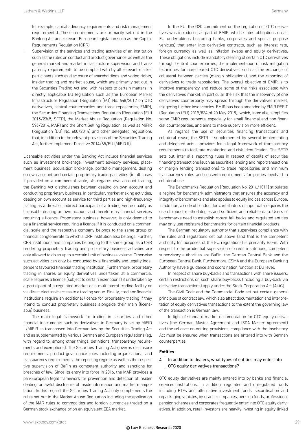for example, capital adequacy requirements and risk management requirements). These requirements are primarily set out in the Banking Act and relevant European legislation such as the Capital Requirements Regulation (CRR).

Supervision of the services and trading activities of an institution such as the rules on conduct and product governance, as well as the general market and market infrastructure supervision and transparency requirements to be complied with by all relevant market participants such as disclosure of shareholdings and voting rights, insider trading and market abuse, which are primarily set out in the Securities Trading Act and, with respect to certain matters, in directly applicable EU legislation such as the European Market Infrastructure Regulation (Regulation (EU) No. 648/2012 on OTC derivatives, central counterparties and trade repositories, EMIR), the Securities Financing Transactions Regulation (Regulation (EU) 2015/2365, SFTR), the Market Abuse Regulation (Regulation No. 596/2014, MAR) and the Short Selling Regulation, as well as MiFIR (Regulation (EU) No. 600/2014) and other delegated regulations that, in addition to the relevant provisions of the Securities Trading Act, further implement Directive 2014/65/EU (MiFiD II).

Licensable activities under the Banking Act include financial services such as investment brokerage, investment advisory services, placement business, acquisition brokerage, portfolio management, dealing on own account and certain proprietary trading activities (in all cases if provided on a commercial scale). As regards own account trading, the Banking Act distinguishes between dealing on own account and conducting proprietary business. In particular, market-making activities, dealing on own account as service for third parties and high-frequency trading as a direct or indirect participant of a trading venue qualify as licensable dealing on own account and therefore as financial services requiring a licence. Proprietary business, however, is only deemed to be a financial service requiring a licence if it is conducted on a commercial scale and the respective company belongs to the same group or financial conglomerate to which a CRR institution also belongs. Further, CRR institutions and companies belonging to the same group as a CRR rendering proprietary trading and proprietary business activities are only allowed to do so up to a certain limit of business volume. Otherwise such activities can only be conducted by a financially and legally independent favoured financial trading institution. Furthermore, proprietary trading in shares or equity derivatives undertaken at a commercial scale requires a licence (subject to certain exemptions) if undertaken by a participant of a regulated market or a multilateral trading facility or via direct electronic access to a trading venue. Finally, credit or financial institutions require an additional licence for proprietary trading if they intend to conduct proprietary business alongside their main (licensable) business.

The main legal framework for trading in securities and other financial instruments such as derivatives in Germany is set by MiFID II/MiFIR as transposed into German law by the Securities Trading Act and as supplemented by various German and European regulations (eg, with regard to, among other things, definitions, transparency requirements and exemptions). The Securities Trading Act governs disclosure requirements, product governance rules including organisational and transparency requirements, the reporting regime as well as the respective supervision of BaFin as competent authority and sanctions for breaches of law. Since its entry into force in 2016, the MAR provides a pan-European legal framework for prevention and detection of insider dealing, unlawful disclosure of inside information and market manipulation. In this regard, the Securities Trading Act only complements the rules set out in the Market Abuse Regulation including the application of the MAR rules to commodities and foreign currencies traded on a German stock exchange or on an equivalent EEA market.

In the EU, the G20 commitment on the regulation of OTC derivatives was introduced as part of EMIR, which states obligations on all EU undertakings (including banks, corporates and special purpose vehicles) that enter into derivative contracts, such as interest rate, foreign currency as well as inflation swaps and equity derivatives. These obligations include mandatory clearing of certain OTC derivatives through central counterparties, the implementation of risk mitigation techniques for non-cleared OTC derivatives, such as the exchange of collateral between parties (margin obligations), and the reporting of derivatives to trade repositories. The overall objective of EMIR is to improve transparency and reduce some of the risks associated with the derivatives market, in particular the risk that the insolvency of one derivatives counterparty may spread through the derivatives market, triggering further insolvencies. EMIR has been amended by EMIR REFIT (Regulation (EU) 2019/834 of 20 May 2019), which, inter alia, simplifies some EMIR requirements, especially for small financial and non-financial counterparties, and aims to make supervision more efficient.

As regards the use of securities financing transactions and collateral reuse, the SFTR – supplemented by several implementing and delegated acts – provides for a legal framework of transparency requirements to facilitate monitoring and risk identification. The SFTR sets out, inter alia, reporting rules in respect of details of securities financing transactions (such as securities lending and repo transactions or margin lending transactions) to trade repositories and minimum transparency rules and consent requirements for parties involved in collateral use.

The Benchmarks Regulation (Regulation No. 2016/1011) stipulates a regime for benchmark administrators that ensures the accuracy and integrity of benchmarks and also applies to equity indices across Europe. In addition, a code of conduct for contributors of input data requires the use of robust methodologies and sufficient and reliable data. Users of benchmarks need to establish robust fall-backs and regulated entities may only use registered benchmarks for certain financial products.

The German regulatory authority that supervises compliance with the rules and regulations set out above (and that is the competent authority for purposes of the EU regulations) is primarily BaFin. With respect to the prudential supervision of credit institutions, competent supervisory authorities are BaFin, the German Central Bank and the European Central Bank. Furthermore, ESMA and the European Banking Authority have a guidance and coordination function at EU level.

In respect of share buy-backs and transactions with share issuers, certain restrictions on such share buy-backs (including a buy-back via derivative transactions) apply under the Stock Corporation Act (AktG).

The Civil Code and the Commercial Code set out certain general principles of contract law, which also affect documentation and interpretation of equity derivatives transactions to the extent the governing law of the transaction is German law.

In light of standard market documentation for OTC equity derivatives (the German Master Agreement and ISDA Master Agreement) and the reliance on netting provisions, compliance with the Insolvency Act must be ensured when transactions are entered into with German counterparties.

#### **Entities**

#### $4$  | In addition to dealers, what types of entities may enter into OTC equity derivatives transactions?

OTC equity derivatives are mainly entered into by banks and financial services institutions. In addition, regulated and unregulated funds including ETFs and alternative investment funds, securitisation and repackaging vehicles, insurance companies, pension funds, professional pension schemes and corporates frequently enter into OTC equity derivatives. In addition, retail investors are heavily investing in equity-linked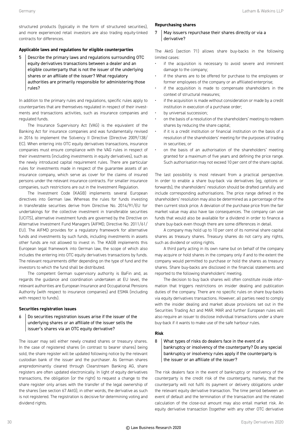structured products (typically in the form of structured securities), and more experienced retail investors are also trading equity-linked contracts for differences.

#### **Applicable laws and regulations for eligible counterparties**

5 Describe the primary laws and regulations surrounding OTC equity derivatives transactions between a dealer and an eligible counterparty that is not the issuer of the underlying shares or an affiliate of the issuer? What regulatory authorities are primarily responsible for administering those rules?

In addition to the primary rules and regulations, specific rules apply to counterparties that are themselves regulated in respect of their investments and transactions activities, such as insurance companies and regulated funds.

The Insurance Supervisory Act (VAG) is the equivalent of the Banking Act for insurance companies and was fundamentally revised in 2016 to implement the Solvency II Directive (Directive 2009/138/ EC). When entering into OTC equity derivatives transactions, insurance companies must ensure compliance with the VAG rules in respect of their investments (including investments in equity derivatives), such as the newly introduced capital requirement rules. There are particular rules for investments made in respect of the guarantee assets of an insurance company, which serve as cover for the claims of insured persons under the relevant insurance contracts. For smaller insurance companies, such restrictions are out in the Investment Regulation.

The Investment Code (KAGB) implements several European directives into German law. Whereas the rules for funds investing in transferable securities derive from Directive No. 2014/91/EU for undertakings for the collective investment in transferable securities (UCITS), alternative investment funds are governed by the Directive on Alternative Investment Fund Managers (AIFMD, Directive No. 2011/61/ EU). The AIFMD provides for a regulatory framework for alternative funds and investments by such funds, including investments in assets other funds are not allowed to invest in. The KAGB implements this European legal framework into German law, the scope of which also includes the entering into OTC equity derivatives transactions by funds. The relevant requirements differ depending on the type of fund and the investors to which the fund shall be distributed.

The competent German supervisory authority is BaFin and, as regards the guidance and coordination undertaken at EU level, the relevant authorities are European Insurance and Occupational Pensions Authority (with respect to insurance companies) and ESMA (including with respect to funds).

#### **Securities registration issues**

#### 6 Do securities registration issues arise if the issuer of the underlying shares or an affiliate of the issuer sells the issuer's shares via an OTC equity derivative?

The issuer may sell either newly created shares or treasury shares. In the case of registered shares (in contrast to bearer shares) being sold, the share register will be updated following notice by the relevant custodian bank of the issuer and the purchaser. As German shares arepredominantly cleared through Clearstream Banking AG, share registers are often updated electronically. In light of equity derivatives transactions, the obligation (or the right) to request a change to the share register only arises with the transfer of the legal ownership of the shares (see section 67 AktG), in other words, the derivative as such is not registered. The registration is decisive for determining voting and dividend rights.

#### **Repurchasing shares**

7 | May issuers repurchase their shares directly or via a derivative?

The AktG (section 71) allows share buy-backs in the following limited cases:

- if the acquisition is necessary to avoid severe and imminent damage to the company;
- if the shares are to be offered for purchase to the employees or former employees of the company or an affiliated enterprise;
- if the acquisition is made to compensate shareholders in the context of structural measures;
- if the acquisition is made without consideration or made by a credit institution in execution of a purchase order;
- by universal succession;
- on the basis of a resolution of the shareholders' meeting to redeem shares by reducing the share capital;
- if it is a credit institution or financial institution on the basis of a resolution of the shareholders' meeting for the purposes of trading in securities; or
- on the basis of an authorisation of the shareholders' meeting granted for a maximum of five years and defining the price range. Such authorisation may not exceed 10 per cent of the share capital.

The last possibility is most relevant from a practical perspective. In order to enable a share buy-back via derivatives (eg, options or forwards), the shareholders' resolution should be drafted carefully and include corresponding authorisations. The price range defined in the shareholders' resolution may also be determined as a percentage of the then current stock price. A deviation of the purchase price from the fair market value may also have tax consequences. The company can use funds that would also be available for a dividend in order to finance a share buy-back even though there are some differences in detail.

A company may hold up to 10 per cent of its nominal share capital shares as treasury shares. Treasury shares do not carry any rights, such as dividend or voting rights.

A third party acting in its own name but on behalf of the company may acquire or hold shares in the company only if and to the extent the company would permitted to purchase or hold the shares as treasury shares. Share buy-backs are disclosed in the financial statements and reported to the following shareholders' meeting.

The decision to buy back shares will often constitute inside information that triggers restrictions on insider dealing and publication duties of the company. There are no specific rules on share buy-backs via equity derivatives transactions. However, all parties need to comply with the insider dealing and market abuse provisions set out in the Securities Trading Act and MAR. MAR and further European rules will also require an issuer to disclose individual transactions under a share buy-back if it wants to make use of the safe harbour rules.

#### **Risk**

#### 8 What types of risks do dealers face in the event of a bankruptcy or insolvency of the counterparty? Do any special bankruptcy or insolvency rules apply if the counterparty is the issuer or an affiliate of the issuer?

The risk dealers face in the event of bankruptcy or insolvency of the counterparty is the credit risk of the counterparty, namely, that the counterparty will not fulfil its payment or delivery obligations under the relevant equity derivative transaction. The time period between an event of default and the termination of the transaction and the related calculation of the close-out amount may also entail market risk. An equity derivative transaction (together with any other OTC derivative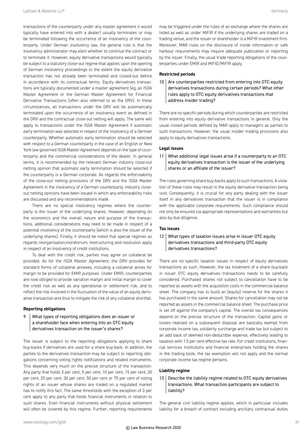transactions of the counterparty under any master agreement it would typically have entered into with a dealer) usually terminates or may be terminated following the occurrence of an insolvency of the counterparty. Under German insolvency law, the general rule is that the insolvency administrator may elect whether to continue the contract or to terminate it. However, equity derivative transactions would typically be subject to a statutory close-out regime that applies upon the opening of German insolvency proceedings to the extent the equity derivative transaction has not already been terminated and closed-out before in accordance with its contractual terms. Equity derivatives transactions are typically documented under a master agreement (eg, an ISDA Master Agreement or the German Master Agreement for Financial Derivative Transactions (often also referred to as the DRV). In these circumstances, all transactions under the DRV will be automatically terminated upon the occurrence of an insolvency event as defined in the DRV and the contractual close-out netting will apply. The same will apply to transactions under the ISDA Master Agreement if automatic early termination was selected in respect of the insolvency of a German counterparty. Whether automatic early termination should be selected with respect to a German counterparty in the case of an English or New York law governed ISDA Master Agreement depends on the type of counterparty and the commercial considerations of the dealer. In general terms, it is recommended by the relevant German industry close-out netting opinion that automatic early termination should be selected if the counterparty is a German corporate. As regards the enforceability of the close-out netting provisions of the DRV and the ISDA Master Agreement in the insolvency of a German counterparty, industry closeout netting opinions have been issued in which any enforceability risks are discussed and any recommendations made.

There are no special insolvency regimes where the counterparty is the issuer of the underlying shares. However, depending on the economics and the overall nature and purpose of the transactions, additional considerations may need to be made in respect of a potential insolvency of the counterparty (which is also the issuer of the underlying shares). Finally, it should be noted that special regimes as regards reorganisation,moratorium, restructuring and resolution apply in respect of an insolvency of credit institutions.

To deal with the credit risk, parties may agree on collateral be provided. As for the ISDA Master Agreement, the DRV provides for standard forms of collateral annexes, including a collateral annex for margin to be provided for EMIR purposes. Under EMIR, counterparties are now obliged to provide variation margin and initial margin to cover the credit risk as well as any operational or settlement risk, and to reflect the risk involved in the fluctuation of the value of an equity derivative transaction and thus to mitigate the risk of any collateral shortfall.

#### **Reporting obligations**

#### 9 | What types of reporting obligations does an issuer or a shareholder face when entering into an OTC equity derivatives transaction on the issuer's shares?

The issuer is subject to the reporting obligations applying to share buy-backs if derivatives are used for a share buy-back. In addition, the parties to the derivatives transaction may be subject to reporting obligations concerning voting rights notifications and related instruments. This depends very much on the precise structure of the transaction. Any party that holds 3 per cent, 5 per cent, 10 per cent, 15 per cent, 20 per cent, 25 per cent, 30 per cent, 50 per cent or 75 per cent of voting rights of an issuer whose shares are traded on a regulated market has to notify this fact. The same thresholds with the exception of 3 per cent apply to any party that holds financial instruments in relation to such shares. Even financial instruments without physical settlement will often be covered by this regime. Further, reporting requirements may be triggered under the rules of an exchange where the shares are listed as well as under MiFIR if the underlying shares are traded on a trading venue, and the issuer or shareholder is a MiFIR investment firm. Moreover, MAR rules on the disclosure of inside information or safe harbour requirements may require adequate publication or reporting by the issuer. Finally, the usual trade reporting obligations of the counterparties under EMIR and MiFID/MiFIR apply.

#### **Restricted periods**

#### $10$  Are counterparties restricted from entering into OTC equity derivatives transactions during certain periods? What other rules apply to OTC equity derivatives transactions that address insider trading?

There are no specific periods during which counterparties are restricted from entering into equity derivative transactions in general. Only the usual closed periods defined by MAR apply to managers as parties to such transactions. However, the usual insider trading provisions also apply to equity derivatives transactions.

#### **Legal issues**

11 What additional legal issues arise if a counterparty to an OTC equity derivatives transaction is the issuer of the underlying shares or an affiliate of the issuer?

The rules governing share buy-backs apply to such transactions. A violation of these rules may result in the equity derivative transaction being void. Consequently, it is crucial for any party dealing with the issuer itself in any derivatives transaction that the issuer is in compliance with the applicable corporate requirements. Such compliance should not only be ensured via appropriate representations and warranties but also by due diligence.

#### **Tax issues**

#### 12 What types of taxation issues arise in issuer OTC equity derivatives transactions and third-party OTC equity derivatives transactions?

There are no specific taxation issues in respect of equity derivatives transactions as such. However, the tax treatment of a share buy-back in issuer OTC equity derivatives transactions needs to be carefully considered. Purchased shares not subject to cancellation have to be reported as assets with the acquisition costs in the commercial balance sheet. The company has to build an (equity) reserve for the shares it has purchased in the same amount. Shares for cancellation may not be reported as assets in the commercial balance sheet. The purchase price is set off against the company's capital. The overall tax consequences depend on the precise structure of the transaction. Capital gains or losses realised on a subsequent disposal are basically exempt from corporate income tax, solidarity surcharge and trade tax but subject to an add back of deemed non-deductible expense, effectively leading to taxation with 1.5 per cent effective tax rate. For credit institutions, financial services institutions and financial enterprises holding the shares in the trading book, the tax exemption will not apply and the normal corporate income tax regime pertains.

#### **Liability regime**

#### 13 Describe the liability regime related to OTC equity derivatives transactions. What transaction participants are subject to liability?

The general civil liability regime applies, which in particular includes liability for a breach of contract including ancillary contractual duties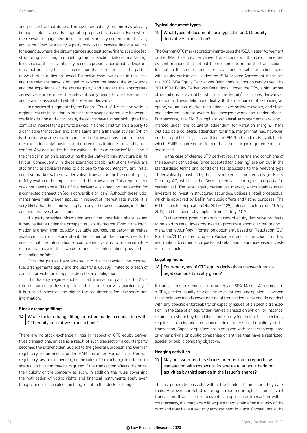and pre-contractual duties. The civil law liability regime may already be applicable at an early stage of a proposed transaction. Even where the relevant engagement terms do not expressly contemplate that any advice be given by a party, a party may in fact provide financial advice, for example, where the circumstances suggest some financial advice (eg, structuring, assisting in modelling the transaction, tailored marketing). In such case, the relevant party needs to provide appropriate advice and must not omit any facts or information that is material for the parties to which such duties are owed. Extensive case law exists in that area and the relevant party is obliged to explore the needs, the knowledge and the experience of the counterparty and suggest the appropriate derivative. Furthermore, the relevant party needs to disclose the risk and rewards associated with the relevant derivative.

In a series of judgments by the Federal Court of Justice and various regional courts in relation to interest rate swaps entered into between a credit institution and a corporate, the courts have further highlighted the conflict of interest for a party to a swap. If a credit institution is a party to a derivative transaction and at the same time a financial adviser (which is almost always the case in non-standard transactions that are outside the 'execution only' business), the credit institution is inevitably in a conflict. Any gain under the derivative is the counterparties' loss, and if the credit institution is structuring the derivative it may structure it in its favour. Consequently, in these scenarios credit institutions (which are also financial advisers) need to disclose to the counterparty any initial negative market value of a derivative transaction for the counterparty to fully evaluate the implicit costs of the transaction. This requirement does not need to be fulfilled if the derivative is a hedging transaction for a connected transaction (eg, a convertible or loan). Although these judgments have mainly been applied in respect of interest rate swaps, it is very likely that the same will apply to any other asset classes, including equity derivatives transactions.

If a party provides information about the underlying share issuer, it may be liable under the prospectus liability regime. Even if the information is drawn from publicly available sources, the party that makes available such disclosure about the issuer of the shares needs to ensure that the information is comprehensive and no material information is missing that would render the information provided as misleading or false.

Once the parties have entered into the transaction, the contractual arrangements apply and the liability is usually limited to breach of contract or violation of applicable rules and obligations.

This liability regime applies to all transaction participants. As a rule of thumb, the less experienced a counterparty is (particularly if it is a retail investor), the higher the requirement for disclosure and information.

#### **Stock exchange filings**

#### 14 What stock exchange filings must be made in connection with OTC equity derivatives transactions?

There are no stock exchange filings in respect of OTC equity derivatives transactions, unless as a result of such transaction a counterparty becomes the shareholder. Subject to the general European and German regulatory requirements under MAR and other European or German regulatory law, and depending on the rules of the exchange in relation to shares, notification may be required if the transaction affects the price, the liquidity or the company as such. In addition, the rules governing the notification of voting rights and financial instruments apply even though, under such rules, the filing is not to the stock exchange.

#### **Typical document types**

#### 15 What types of documents are typical in an OTC equity derivatives transaction?

The German OTC market predominantly uses the ISDA Master Agreement or the DRV. The equity derivatives transactions will then be documented by confirmations that set out the economic terms of the transactions. In addition, the confirmation refers to a standard set of definitions used with equity derivatives. Under the ISDA Master Agreement these are the 2002 ISDA Equity Derivatives Definitions or, though rarely used, the 2011 ISDA Equity Derivatives Definitions. Under the DRV, a similar set of definitions is available, which is the (equity) securities derivatives addendum. These definitions deal with the mechanics of exercising an option, valuations, market disruptions, extraordinary events, and share and index adjustment events (eg, merger events and tender offers). Furthermore, the EMIR-compliant collateral arrangements are documented under the collateral addendum for variation margin. There will also be a collateral addendum for initial margin that has, however, not been published yet. In addition, an EMIR addendum is available in which EMIR requirements (other than the margin requirements) are addressed.

In the case of cleared OTC derivatives, the terms and conditions of the relevant derivatives (once accepted for clearing) are set out in the standardised terms and conditions (as applicable to the relevant type of derivative) published by the relevant central counterparty (ie, Eurex Clearing AG, which is the German central clearing counterparty for derivatives). The retail equity derivatives market, which enables retail investors to invest in structured securities, utilises a retail prospectus, which is approved by BaFin for public offers and listing purposes. The EU Prospectus Regulation (No. 2017/1129) entered into force on 20 July 2017, and has been fully applied from 21 July 2019.

Furthermore, product manufacturers of equity derivative products to be sold to retail investors need to produce a short disclosure document, the favour 'key information document', based on Regulation (EU) No. 1286/2014 of the European Parliament and of the council on key information documents for packaged retail and insurance-based investment products.

#### **Legal opinions**

#### 16 | For what types of OTC equity derivatives transactions are legal opinions typically given?

If transactions are entered into under an ISDA Master Agreement or a DRV, parties usually rely on the relevant industry opinion. However, these opinions mostly cover netting of transactions only and do not deal with any specific enforceability or capacity issues of a specific transaction. In the case of an equity derivatives transaction (which, for instance, relates to a share buy-back) the counterparty (not being the issuer) may require a capacity and compliance opinion to ensure the validity of the transaction. Capacity opinions are also given with respect to regulated or other private or public companies or entities that have a restricted, special or public company objective.

#### **Hedging activities**

#### 17 May an issuer lend its shares or enter into a repurchase transaction with respect to its shares to support hedging activities by third parties in the issuer's shares?

This is generally possible within the limits of the share buy-back rules. However, careful structuring is required in light of the relevant transaction. If an issuer enters into a repurchase transaction with a counterparty, the company will acquire them again after maturity of the repo and may have a security arrangement in place. Consequently, the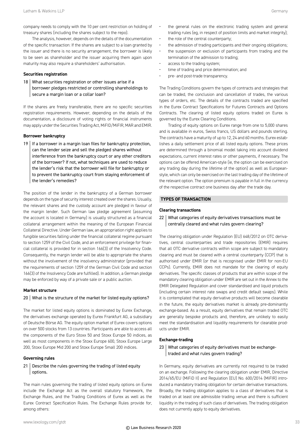The analysis, however, depends on the details of the documentation of the specific transaction: If the shares are subject to a loan granted by the issuer and there is no security arrangement, the borrower is likely to be seen as shareholder and the issuer acquiring them again upon maturity may also require a shareholders' authorisation.

#### **Securities registration**

18 What securities registration or other issues arise if a borrower pledges restricted or controlling shareholdings to secure a margin loan or a collar loan?

If the shares are freely transferable, there are no specific securities registration requirements. However, depending on the details of the documentation, a disclosure of voting rights or financial instruments may apply under the Securities Trading Act, MiFID/MiFIR, MAR and EMIR.

#### **Borrower bankruptcy**

19 | If a borrower in a margin loan files for bankruptcy protection, can the lender seize and sell the pledged shares without interference from the bankruptcy court or any other creditors of the borrower? If not, what techniques are used to reduce the lender's risk that the borrower will file for bankruptcy or to prevent the bankruptcy court from staying enforcement of the lender's remedies?

The position of the lender in the bankruptcy of a German borrower depends on the type of security interest created over the shares. Usually, the relevant shares and the custody account are pledged in favour of the margin lender. Such German law pledge agreement (assuming the account is located in Germany) is usually structured as a financial collateral arrangement within the meaning of the European Financial Collateral Directive. Under German law, an appropriation right applies to fungible securities falling under the financial collateral regime pursuant to section 1259 of the Civil Code, and an enforcement privilege for financial collateral is provided for in section 166(3) of the Insolvency Code. Consequently, the margin lender will be able to appropriate the shares without the involvement of the insolvency administrator (provided that the requirements of section 1259 of the German Civil Code and section 166(3) of the Insolvency Code are fulfilled). In addition, a German pledge may be enforced by way of a private sale or a public auction.

#### **Market structure**

#### 20 What is the structure of the market for listed equity options?

The market for listed equity options is dominated by Eurex Exchange, the derivatives exchange operated by Eurex Frankfurt AG, a subsidiary of Deutsche Börse AG. The equity option market of Eurex covers options on over 500 stocks from 13 countries. Participants are able to access all the components of the Euro Stoxx 50 and Stoxx Europe 50 indices, as well as most components in the Stoxx Europe 600, Stoxx Europe Large 200, Stoxx Europe Mid 200 and Stoxx Europe Small 200 indices.

#### **Governing rules**

21 | Describe the rules governing the trading of listed equity options.

The main rules governing the trading of listed equity options on Eurex include the Exchange Act as the overall statutory framework, the Exchange Rules, and the Trading Conditions of Eurex as well as the Eurex Contract Specification Rules. The Exchange Rules provide for, among others:

- the role of the central counterparty;
- the admission of trading participants and their ongoing obligations;
- the suspension or exclusion of participants from trading and the termination of the admission to trading;
- access to the trading system;
- time of trading and price determination; and
- pre- and post-trade transparency.

The Trading Conditions govern the types of contracts and strategies that can be traded, the conclusion and cancellation of trades, the various types of orders, etc. The details of the contracts traded are specified in the Eurex Contract Specifications for Futures Contracts and Options Contracts. The clearing of listed equity options traded on Eurex is governed by the Eurex Clearing Conditions.

Trading of equity options on Eurex range from one to 5,000 shares and is available in euros, Swiss francs, US dollars and pounds sterling. The contracts have a maturity of up to 12, 24 and 60 months. Eurex establishes a daily settlement price of all listed equity options. These prices are determined through a binomial model taking into account dividend expectations, current interest rates or other payments, if necessary. The options can be offered American-style (ie, the option can be exercised on any trading day during the lifetime of the option) as well as Europeanstyle, which can only be exercised on the last trading day of the lifetime of the relevant option. The option premium is payable in full in the currency of the respective contract one business day after the trade day.

#### **TYPES OF TRANSACTION**

#### **Clearing transactions**

22 What categories of equity derivatives transactions must be centrally cleared and what rules govern clearing?

The clearing obligation under Regulation (EU) 648/2012 on OTC derivatives, central counterparties and trade repositories (EMIR) requires that all OTC derivative contracts within scope are subject to mandatory clearing and must be cleared with a central counterparty (CCP) that is authorised under EMIR (or that is recognised under EMIR for non-EU CCPs). Currently, EMIR does not mandate for the clearing of equity derivatives. The specific classes of products that are within scope of the mandatory clearing obligation under EMIR are set out in the Annex to the EMIR Delegated Regulation and cover standardised and liquid products (including certain interest rate swaps and credit default swaps). While it is contemplated that equity derivative products will become clearable in the future, the equity derivatives market is already pre-dominantly exchange-based. As a result, equity derivatives that remain traded OTC are generally bespoke products and, therefore, are unlikely to easily meet the standardisation and liquidity requirements for clearable products under EMIR.

#### **Exchange-trading**

#### 23 What categories of equity derivatives must be exchangetraded and what rules govern trading?

In Germany, equity derivatives are currently not required to be traded on an exchange. Following the clearing obligation under EMIR, Directive 2014/65/EU (MiFiD II) and Regulation (EU) No. 600/2014 (MiFIR) introduced a mandatory trading obligation for certain derivative transactions. Broadly, the trading obligation applies to a class of derivatives that is traded on at least one admissible trading venue and there is sufficient liquidity in the trading of such class of derivatives. The trading obligation does not currently apply to equity derivatives.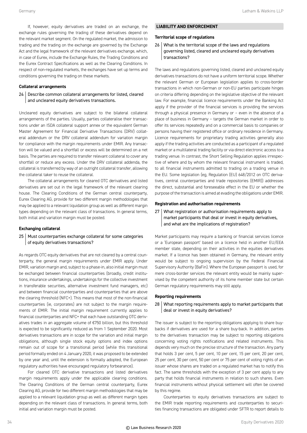If, however, equity derivatives are traded on an exchange, the exchange rules governing the trading of these derivatives depend on the relevant market segment. On the regulated market, the admission to trading and the trading on the exchange are governed by the Exchange Act and the legal framework of the relevant derivatives exchange, which, in case of Eurex, include the Exchange Rules, the Trading Conditions and the Eurex Contract Specifications as well as the Clearing Conditions. In respect of non-regulated markets, the exchanges have set up terms and conditions governing the trading on these markets.

#### **Collateral arrangements**

24 Describe common collateral arrangements for listed, cleared and uncleared equity derivatives transactions.

Uncleared equity derivatives are subject to the bilateral collateral arrangements of the parties. Usually, parties collateralise their transactions under an ISDA collateral support annex or the equivalent German Master Agreement for Financial Derivative Transactions (DRV) collateral addendum or the DRV collateral addendum for variation margin for compliance with the margin requirements under EMIR. Any transaction will be valued and a shortfall or excess will be determined on a net basis. The parties are required to transfer relevant collateral to cover any shortfall or reduce any excess. Under the DRV collateral addenda, the collateral is transferred by way of an outright collateral transfer, allowing the collateral taker to reuse the collateral.

The collateral arrangements for cleared OTC derivatives and listed derivatives are set out in the legal framework of the relevant clearing house. The Clearing Conditions of the German central counterparty, Eurex Clearing AG, provide for two different margin methodologies that may be applied to a relevant liquidation group as well as different margin types depending on the relevant class of transactions. In general terms, both initial and variation margin must be posted.

#### **Exchanging collateral**

25 | Must counterparties exchange collateral for some categories of equity derivatives transactions?

As regards OTC equity derivatives that are not cleared by a central counterparty, the general margin requirements under EMIR apply. Under EMIR, variation margin and, subject to a phase-in, also initial margin must be exchanged between financial counterparties (broadly, credit institutions, insurance undertakings, undertakings for the collective investment in transferable securities, alternative investment fund managers, etc) and between financial counterparties and counterparties that are above the clearing threshold (NFC+). This means that most of the non-financial counterparties (ie, corporates) are not subject to the margin requirements of EMIR. The initial margin requirement currently applies to financial counterparties and NFC+ that each have outstanding OTC derivatives trades in an aggregate volume of €750 billion, but this threshold is expected to be significantly reduced as from 1 September 2020. Most derivatives transactions are in scope for the variation and initial margin obligations, although single stock equity options and index options remain out of scope for a transitional period (while this transitional period formally ended on 4 January 2020, it was proposed to be extended by one year and, until the extension is formally adopted, the European regulatory authorities have encouraged regulatory forbearance).

For cleared OTC derivative transactions and listed derivatives margin requirements apply under the applicable clearing conditions. The Clearing Conditions of the German central counterparty, Eurex Clearing AG, provide for two different margin methodologies that may be applied to a relevant liquidation group as well as different margin types depending on the relevant class of transactions. In general terms, both initial and variation margin must be posted.

#### **LIABILITY AND ENFORCEMENT**

#### **Territorial scope of regulations**

26 What is the territorial scope of the laws and regulations governing listed, cleared and uncleared equity derivatives transactions?

The laws and regulations governing listed, cleared and uncleared equity derivatives transactions do not have a uniform territorial scope. Whether the relevant German or European legislation applies to cross-border transactions in which non-German or non-EU parties participate hinges on criteria differing depending on the legislative objective of the relevant law. For example, financial licence requirements under the Banking Act apply if the provider of the financial services is providing the services through a physical presence in Germany or – even in the absence of a place of business in Germany – targets the German market in order to offer its services repeatedly and on a commercial basis to companies or persons having their registered office or ordinary residence in Germany. Licence requirements for proprietary trading activities generally also apply if the trading activities are conducted as a participant of a regulated market or a multilateral trading facility or via direct electronic access to a trading venue. In contrast, the Short Selling Regulation applies irrespective of where and by whom the relevant financial instrument is traded, to all financial instruments admitted to trading on a trading venue in the EU. Some legislation (eg, Regulation (EU) 648/2012 on OTC derivatives, central counterparties and trade repositories (EMIR)) addresses the direct, substantial and foreseeable effect in the EU or whether the purpose of the transaction is aimed at evading the obligations under EMIR.

#### **Registration and authorisation requirements**

27 What registration or authorisation requirements apply to market participants that deal or invest in equity derivatives, and what are the implications of registration?

Market participants may require a banking or financial services licence or a 'European passport' based on a licence held in another EU/EEA member state, depending on their activities in the equities derivatives market. If a licence has been obtained in Germany, the relevant entity would be subject to ongoing supervision by the Federal Financial Supervisory Authority (BaFin). Where the European passport is used, for mere cross-border services the relevant entity would be mainly supervised by the competent authority of its home member state but certain German regulatory requirements may still apply.

#### **Reporting requirements**

28 What reporting requirements apply to market participants that deal or invest in equity derivatives?

The issuer is subject to the reporting obligations applying to share buybacks if derivatives are used for a share buy-back. In addition, parties to the derivatives transaction may be subject to reporting obligations concerning voting rights notifications and related instruments. This depends very much on the precise structure of the transaction. Any party that holds 3 per cent, 5 per cent, 10 per cent, 15 per cent, 20 per cent, 25 per cent, 30 per cent, 50 per cent or 75 per cent of voting rights of an issuer whose shares are traded on a regulated market has to notify this fact. The same thresholds with the exception of 3 per cent apply to any party that holds financial instruments in relation to such shares. Even financial instruments without physical settlement will often be covered by this regime.

Counterparties to equity derivatives transactions are subject to the EMIR trade reporting requirements and counterparties to securities financing transactions are obligated under SFTR to report details to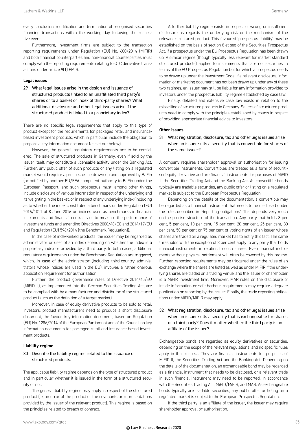Furthermore, investment firms are subject to the transaction reporting requirements under Regulation (EU) No. 600/2014 (MiFIR) and both financial counterparties and non-financial counterparties must comply with the reporting requirements relating to OTC derivative transactions under article 9(1) EMIR.

#### **Legal issues**

29 What legal issues arise in the design and issuance of structured products linked to an unaffiliated third party's shares or to a basket or index of third-party shares? What additional disclosure and other legal issues arise if the structured product is linked to a proprietary index?

There are no specific legal requirements that apply to this type of product except for the requirements for packaged retail and insurancebased investment products, which in particular include the obligation to prepare a key information document (as set out below).

However, the general regulatory requirements are to be considered. The sale of structured products in Germany, even if sold by the issuer itself, may constitute a licensable activity under the Banking Act. Further, any public offer of such products or any listing on a regulated market would require a prospectus be drawn up and approved by BaFin (or notified by another EU/EEA competent authority to BaFin under the European Passport) and such prospectus must, among other things, include disclosure of various information in respect of the underlying and its weighting in the basket, or in respect of any underlying index (including as to whether the index constitutes a benchmark under Regulation (EU) 2016/1011 of 8 June 2016 on indices used as benchmarks in financial instruments and financial contracts or to measure the performance of investment funds and amending Directives 2008/48/EC and 2014/17/EU and Regulation (EU) 596/2014 (the Benchmark Regulation)).

In the case of index-linked products, the issuer may be regarded as administrator or user of an index depending on whether the index is a proprietary index or provided by a third party. In both cases, additional regulatory requirements under the Benchmark Regulation are triggered, which, in case of the administrator (including third-country administrators whose indices are used in the EU), involves a rather onerous application requirement for authorisation.

Further, the product governance rules of Directive 2014/65/EU (MiFiD II), as implemented into the German Securities Trading Act, are to be complied with by a manufacturer and distributor of the structured product (such as the definition of a target market).

Moreover, in case of equity derivative products to be sold to retail investors, product manufacturers need to produce a short disclosure document, the favour 'key information document', based on Regulation (EU) No. 1286/2014 of the European Parliament and of the Council on key information documents for packaged retail and insurance-based investment products.

#### **Liability regime**

#### $30$  Describe the liability regime related to the issuance of structured products.

The applicable liability regime depends on the type of structured product and in particular whether it is issued in the form of a structured security or not.

The general liability regime may apply in respect of the structured product (ie, an error of the product or the covenants or representations provided by the issuer of the relevant product). This regime is based on the principles related to breach of contract.

A further liability regime exists in respect of wrong or insufficient disclosure as regards the underlying risk or the mechanism of the relevant structured product. This favoured 'prospectus liability' may be established on the basis of section 8 et seq of the Securities Prospectus Act, if a prospectus under the EU Prospectus Regulation has been drawn up. A similar regime (though typically less relevant for market standard structured products) applies to instruments that are not securities in terms of the EU Prospectus Regulation but for which a prospectus needs to be drawn up under the Investment Code. If a relevant disclosure, information or marketing document has not been drawn up under any of these two regimes, an issuer may still be liable for any information provided to investors under the prospectus liability regime established by case law.

Finally, detailed and extensive case law exists in relation to the misselling of structured products in Germany. Sellers of structured products need to comply with the principles established by courts in respect of providing appropriate financial advice to investors.

#### **Other issues**

#### 31 What registration, disclosure, tax and other legal issues arise when an issuer sells a security that is convertible for shares of the same issuer?

A company requires shareholder approval or authorisation for issuing convertible instruments. Convertibles are treated as a form of securitisedequity derivative and are financial instruments for purposes of MiFID II, the Securities Trading Act and the Banking Act. As convertible bonds typically are tradable securities, any public offer or listing on a regulated market is subject to the European Prospectus Regulation.

Depending on the details of the documentation, a convertible may be regarded as a financial instrument that needs to be disclosed under the rules described in 'Reporting obligations'. This depends very much on the precise structure of the transaction. Any party that holds 3 per cent, 5 per cent, 10 per cent, 15 per cent, 20 per cent, 25 per cent, 30 per cent, 50 per cent or 75 per cent of voting rights of an issuer whose shares are traded on a regulated market has to notify this fact. The same thresholds with the exception of 3 per cent apply to any party that holds financial instruments in relation to such shares. Even financial instruments without physical settlement will often be covered by this regime. Further, reporting requirements may be triggered under the rules of an exchange where the shares are listed as well as under MiFIR if the underlying shares are traded on a trading venue, and the issuer or shareholder is a MiFIR investment firm. Moreover, MAR rules on the disclosure of inside information or safe harbour requirements may require adequate publication or reporting by the issuer. Finally, the trade reporting obligations under MiFID/MiFIR may apply.

#### 32 What registration, disclosure, tax and other legal issues arise when an issuer sells a security that is exchangeable for shares of a third party? Does it matter whether the third party is an affiliate of the issuer?

Exchangeable bonds are regarded as equity derivatives or securities, depending on the scope of the relevant regulations, and no specific rules apply in that respect. They are financial instruments for purposes of MiFID II, the Securities Trading Act and the Banking Act. Depending on the details of the documentation, an exchangeable bond may be regarded as a financial instrument that needs to be disclosed, or a relevant trade in such financial instrument may need to be reported, in accordance with the Securities Trading Act, MiFID/MiFIR, and MAR. As exchangeable bonds typically are tradable securities, any public offer or listing on a regulated market is subject to the European Prospectus Regulation.

If the third party is an affiliate of the issuer, the issuer may require shareholder approval or authorisation.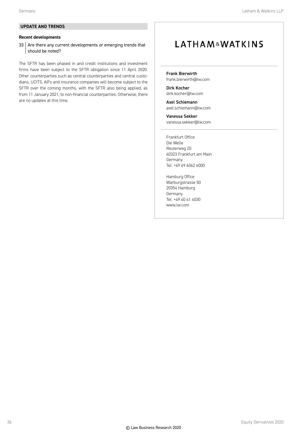#### **UPDATE AND TRENDS**

#### **Recent developments**

33  $\vert$  Are there any current developments or emerging trends that should be noted?

The SFTR has been phased in and credit institutions and investment firms have been subject to the SFTR obligation since 11 April 2020. Other counterparties such as central counterparties and central custodians, UCITS, AIFs and insurance companies will become subject to the SFTR over the coming months, with the SFTR also being applied, as from 11 January 2021, to non-financial counterparties. Otherwise, there are no updates at this time.

### **LATHAM&WATKINS**

Frank Bierwirth frank.bierwirth@lw.com

Dirk Kocher dirk.kocher@lw.com

Axel Schiemann axel.schiemann@lw.com

Vanessa Sekker vanessa.sekker@lw.com

Frankfurt Office Die Welle Reuterweg 20 60323 Frankfurt am Main Germany Tel: +49 69 6062 6000

Hamburg Office Warburgstrasse 50 20354 Hamburg Germany Tel: +49 40 41 4030 www.lw.com